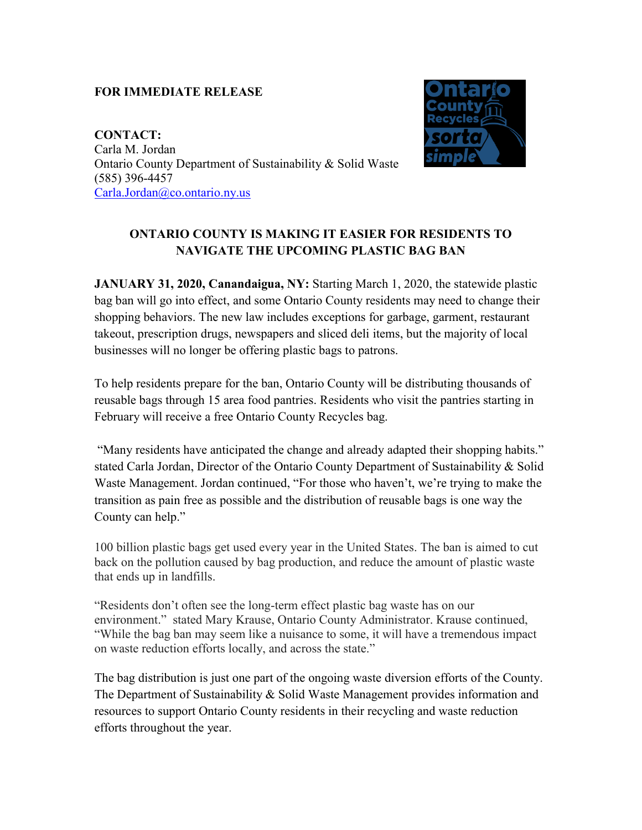## **FOR IMMEDIATE RELEASE**

**CONTACT:** Carla M. Jordan Ontario County Department of Sustainability & Solid Waste (585) 396-4457 [Carla.Jordan@co.ontario.ny.us](mailto:Carla.Jordan@co.ontario.ny.us)



## **ONTARIO COUNTY IS MAKING IT EASIER FOR RESIDENTS TO NAVIGATE THE UPCOMING PLASTIC BAG BAN**

**JANUARY 31, 2020, Canandaigua, NY:** Starting March 1, 2020, the statewide plastic bag ban will go into effect, and some Ontario County residents may need to change their shopping behaviors. The new law includes exceptions for garbage, garment, restaurant takeout, prescription drugs, newspapers and sliced deli items, but the majority of local businesses will no longer be offering plastic bags to patrons.

To help residents prepare for the ban, Ontario County will be distributing thousands of reusable bags through 15 area food pantries. Residents who visit the pantries starting in February will receive a free Ontario County Recycles bag.

"Many residents have anticipated the change and already adapted their shopping habits." stated Carla Jordan, Director of the Ontario County Department of Sustainability & Solid Waste Management. Jordan continued, "For those who haven't, we're trying to make the transition as pain free as possible and the distribution of reusable bags is one way the County can help."

100 billion plastic bags get used every year in the United States. The ban is aimed to cut back on the pollution caused by bag production, and reduce the amount of plastic waste that ends up in landfills.

"Residents don't often see the long-term effect plastic bag waste has on our environment." stated Mary Krause, Ontario County Administrator. Krause continued, "While the bag ban may seem like a nuisance to some, it will have a tremendous impact on waste reduction efforts locally, and across the state."

The bag distribution is just one part of the ongoing waste diversion efforts of the County. The Department of Sustainability & Solid Waste Management provides information and resources to support Ontario County residents in their recycling and waste reduction efforts throughout the year.